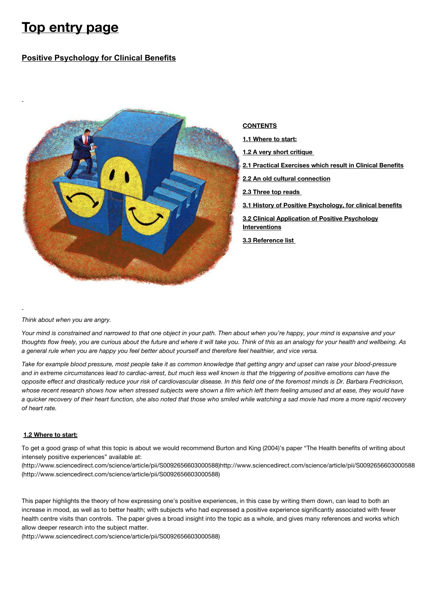# **Top entry page**

# **Positive Psychology for Clinical Benefits**



*Think about when you are angry.*

*Your mind is constrained and narrowed to that one object in your path. Then about when you're happy, your mind is expansive and your thoughts flow freely, you are curious about the future and where it will take you. Think of this as an analogy for your health and wellbeing. As a general rule when you are happy you feel better about yourself and therefore feel healthier, and vice versa.*

*Take for example blood pressure, most people take it as common knowledge that getting angry and upset can raise your blood-pressure and in extreme circumstances lead to cardiac-arrest, but much less well known is that the triggering of positive emotions can have the opposite effect and drastically reduce your risk of cardiovascular disease. In this field one of the foremost minds is Dr. Barbara Fredrickson, whose recent research shows how when stressed subjects were shown a film which left them feeling amused and at ease, they would have a quicker recovery of their heart function, she also noted that those who smiled while watching a sad movie had more a more rapid recovery of heart rate.*

# **1.2 Where to start:**

To get a good grasp of what this topic is about we would recommend Burton and King (2004)'s paper "The Health benefits of writing about intensely positive experiences" available at:

[\(http://www.sciencedirect.com/science/article/pii/S0092656603000588\)http://www.sciencedirect.com/science/article/pii/S0092656603000588](http://www.sciencedirect.com/science/article/pii/S0092656603000588) (http://www.sciencedirect.com/science/article/pii/S0092656603000588)

This paper highlights the theory of how expressing one's positive experiences, in this case by writing them down, can lead to both an increase in mood, as well as to better health; with subjects who had expressed a positive experience significantly associated with fewer health centre visits than controls. The paper gives a broad insight into the topic as a whole, and gives many references and works which allow deeper research into the subject matter.

[\(http://www.sciencedirect.com/science/article/pii/S0092656603000588\)](http://www.sciencedirect.com/science/article/pii/S0092656603000588)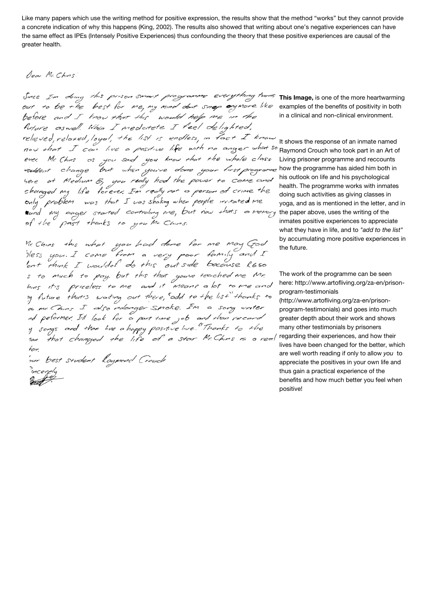Like many papers which use the writing method for positive expression, the results show that the method "works" but they cannot provide a concrete indication of why this happens (King, 2002). The results also showed that writing about one's negative experiences can have the same effect as IPEs (Intensely Positive Experiences) thus confounding the theory that these positive experiences are causal of the greater health.

# Dear Mr. Chins

Since I'm doing this prison smart programme everything turns out to be the best for me, my mind dont snop onymore like before and I know that this would help we in the future aswell. When I medatete I feel delighted. relieved, relaxed, loyal, the list is endless, in fact I know now that I can live a positive life with no anger what so Raymond Crouch who took part in an Art of here at Medium B, you really hod the power to come and<br>changed my life forever. In really not a person of crime the only problem was that I was shaking when people irritated me cand my anger started controlling me, but now thats a memory of the past thanks to you Mr. Chins.

McChins this what you had done for me may God<br>"Iless you. I came from a very poor family and I<br>lont think I woulded do this outside because R650 s to much to pay. but this that gouve teached me Mr.<br>hins it's priceless to me and it means a lot to me and ty future that's waiting out there, add to the list thanks to a Mr Chins I also ndonger Snoke. In a song writer ad petermer. It look for a part time job and than vecord y songs and than live a happy positive live."Thanks to the<br>1an that changed the life of a star Mr. Chins is a real for. 'sur best student Raymond Crouch meerely  $2\pi t$ 

**This Image,** is one of the more heartwarming examples of the benefits of positivity in both in a clinical and non-clinical environment.

It shows the response of an inmate named Living prisoner programme and reccounts how the programme has aided him both in his outlook on life and his psychological health. The programme works with inmates doing such activities as giving classes in yoga, and as is mentioned in the letter, and in the paper above, uses the writing of the inmates positive experiences to appreciate what they have in life, and to *"add to the list"*  by accumulating more positive experiences in the future.

The work of the programme can be seen [here: http://www.artofliving.org/za-en/prison](http://www.artofliving.org/za-en/prison-program-testimonials)program-testimonials

(http://www.artofliving.org/za-en/prisonprogram-testimonials) and goes into much greater depth about their work and shows many other testimonials by prisoners regarding their experiences, and how their lives have been changed for the better, which are well worth reading if only to allow *you* to appreciate the positives in your own life and thus gain a practical experience of the benefits and how much better you feel when positive!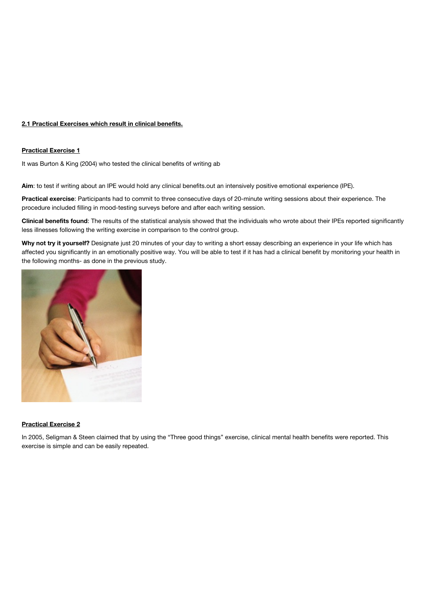## **2.1 Practical Exercises which result in clinical benefits.**

#### **Practical Exercise 1**

It was Burton & King (2004) who tested the clinical benefits of writing ab

**Aim**: to test if writing about an IPE would hold any clinical benefits.out an intensively positive emotional experience (IPE).

**Practical exercise**: Participants had to commit to three consecutive days of 20-minute writing sessions about their experience. The procedure included filling in mood-testing surveys before and after each writing session.

**Clinical benefits found**: The results of the statistical analysis showed that the individuals who wrote about their IPEs reported significantly less illnesses following the writing exercise in comparison to the control group.

**Why not try it yourself?** Designate just 20 minutes of your day to writing a short essay describing an experience in your life which has affected you significantly in an emotionally positive way. You will be able to test if it has had a clinical benefit by monitoring your health in the following months- as done in the previous study.



#### **Practical Exercise 2**

In 2005, Seligman & Steen claimed that by using the "Three good things" exercise, clinical mental health benefits were reported. This exercise is simple and can be easily repeated.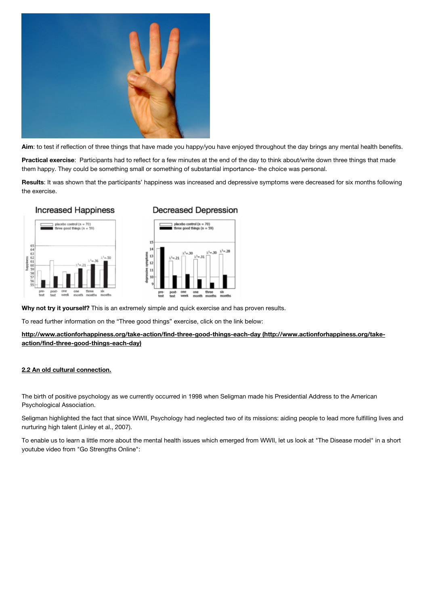

**Aim**: to test if reflection of three things that have made you happy/you have enjoyed throughout the day brings any mental health benefits.

**Practical exercise**: Participants had to reflect for a few minutes at the end of the day to think about/write down three things that made them happy. They could be something small or something of substantial importance- the choice was personal.

**Results**: It was shown that the participants' happiness was increased and depressive symptoms were decreased for six months following the exercise.





# **Decreased Depression**



**Why not try it yourself?** This is an extremely simple and quick exercise and has proven results.

To read further information on the "Three good things" exercise, click on the link below:

**[http://www.actionforhappiness.org/take-action/find-three-good-things-each-day \(http://www.actionforhappiness.org/take](http://www.actionforhappiness.org/take-action/find-three-good-things-each-day)action/find-three-good-things-each-day)**

# **2.2 An old cultural connection.**

The birth of positive psychology as we currently occurred in 1998 when Seligman made his Presidential Address to the American Psychological Association.

Seligman highlighted the fact that since WWII, Psychology had neglected two of its missions: aiding people to lead more fulfilling lives and nurturing high talent (Linley et al., 2007).

To enable us to learn a little more about the mental health issues which emerged from WWII, let us look at "The Disease model" in a short youtube video from "Go Strengths Online":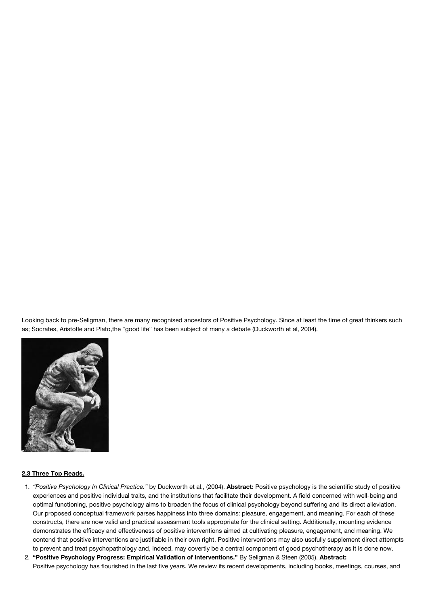Looking back to pre-Seligman, there are many recognised ancestors of Positive Psychology. Since at least the time of great thinkers such as; Socrates, Aristotle and Plato,the "good life" has been subject of many a debate (Duckworth et al, 2004).



#### **2.3 Three Top Reads.**

- 1. *"Positive Psychology In Clinical Practice."* by Duckworth et al., (2004). **Abstract:** Positive psychology is the scientific study of positive experiences and positive individual traits, and the institutions that facilitate their development. A field concerned with well-being and optimal functioning, positive psychology aims to broaden the focus of clinical psychology beyond suffering and its direct alleviation. Our proposed conceptual framework parses happiness into three domains: pleasure, engagement, and meaning. For each of these constructs, there are now valid and practical assessment tools appropriate for the clinical setting. Additionally, mounting evidence demonstrates the efficacy and effectiveness of positive interventions aimed at cultivating pleasure, engagement, and meaning. We contend that positive interventions are justifiable in their own right. Positive interventions may also usefully supplement direct attempts to prevent and treat psychopathology and, indeed, may covertly be a central component of good psychotherapy as it is done now.
- 2. **"Positive Psychology Progress: Empirical Validation of Interventions."** By Seligman & Steen (2005). **Abstract:** Positive psychology has flourished in the last five years. We review its recent developments, including books, meetings, courses, and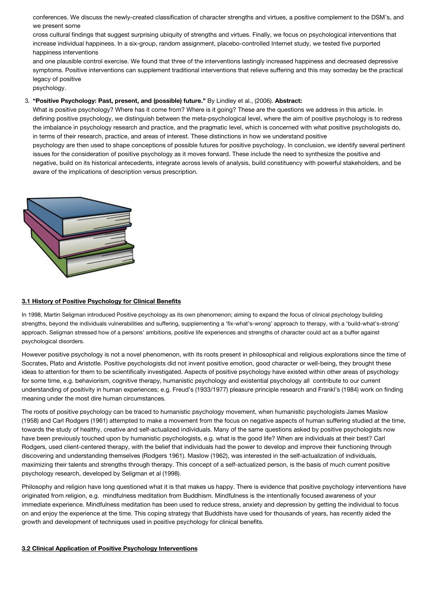conferences. We discuss the newly-created classification of character strengths and virtues, a positive complement to the DSM's, and we present some

cross cultural findings that suggest surprising ubiquity of strengths and virtues. Finally, we focus on psychological interventions that increase individual happiness. In a six-group, random assignment, placebo-controlled Internet study, we tested five purported happiness interventions

and one plausible control exercise. We found that three of the interventions lastingly increased happiness and decreased depressive symptoms. Positive interventions can supplement traditional interventions that relieve suffering and this may someday be the practical legacy of positive

psychology.

#### 3. **"Positive Psychology: Past, present, and (possible) future."** By Lindley et al., (2006). **Abstract:**

What is positive psychology? Where has it come from? Where is it going? These are the questions we address in this article. In defining positive psychology, we distinguish between the meta-psychological level, where the aim of positive psychology is to redress the imbalance in psychology research and practice, and the pragmatic level, which is concerned with what positive psychologists do, in terms of their research, practice, and areas of interest. These distinctions in how we understand positive psychology are then used to shape conceptions of possible futures for positive psychology. In conclusion, we identify several pertinent issues for the consideration of positive psychology as it moves forward. These include the need to synthesize the positive and negative, build on its historical antecedents, integrate across levels of analysis, build constituency with powerful stakeholders, and be aware of the implications of description versus prescription.



#### **3.1 History of Positive Psychology for Clinical Benefits**

In 1998, Martin Seligman introduced Positive psychology as its own phenomenon; aiming to expand the focus of clinical psychology building strengths, beyond the individuals vulnerabilities and suffering, supplementing a 'fix-what's-wrong' approach to therapy, with a 'build-what's-strong' approach. Seligman stressed how of a persons' ambitions, positive life experiences and strengths of character could act as a buffer against psychological disorders.

However positive psychology is not a novel phenomenon, with its roots present in philosophical and religious explorations since the time of Socrates, Plato and Aristotle. Positive psychologists did not invent positive emotion, good character or well-being, they brought these ideas to attention for them to be scientifically investigated. Aspects of positive psychology have existed within other areas of psychology for some time, e.g. behaviorism, cognitive therapy, humanistic psychology and existential psychology all contribute to our current understanding of positivity in human experiences; e.g. Freud's (1933/1977) pleasure principle research and Frankl's (1984) work on finding meaning under the most dire human circumstances.

The roots of positive psychology can be traced to humanistic psychology movement, when humanistic psychologists James Maslow (1958) and Carl Rodgers (1961) attempted to make a movement from the focus on negative aspects of human suffering studied at the time, towards the study of healthy, creative and self-actualized individuals. Many of the same questions asked by positive psychologists now have been previously touched upon by humanistic psychologists, e.g. what is the good life? When are individuals at their best? Carl Rodgers, used client-centered therapy, with the belief that individuals had the power to develop and improve their functioning through discovering and understanding themselves (Rodgers 1961). Maslow (1962), was interested in the self-actualization of individuals, maximizing their talents and strengths through therapy. This concept of a self-actualized person, is the basis of much current positive psychology research, developed by Seligman et al (1998).

Philosophy and religion have long questioned what it is that makes us happy. There is evidence that positive psychology interventions have originated from religion, e.g. mindfulness meditation from Buddhism. Mindfulness is the intentionally focused awareness of your immediate experience. Mindfulness meditation has been used to reduce stress, anxiety and depression by getting the individual to focus on and enjoy the experience at the time. This coping strategy that Buddhists have used for thousands of years, has recently aided the growth and development of techniques used in positive psychology for clinical benefits.

#### **3.2 Clinical Application of Positive Psychology Interventions**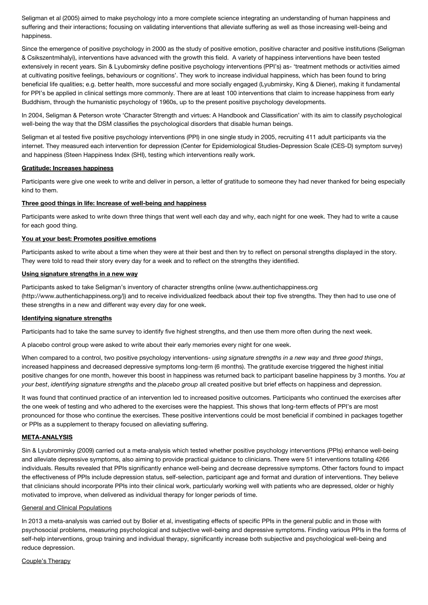Seligman et al (2005) aimed to make psychology into a more complete science integrating an understanding of human happiness and suffering and their interactions; focusing on validating interventions that alleviate suffering as well as those increasing well-being and happiness.

Since the emergence of positive psychology in 2000 as the study of positive emotion, positive character and positive institutions (Seligman & Csikszentmihalyi), interventions have advanced with the growth this field. A variety of happiness interventions have been tested extensively in recent years. Sin & Lyubomirsky define positive psychology interventions (PPI's) as- 'treatment methods or activities aimed at cultivating positive feelings, behaviours or cognitions'. They work to increase individual happiness, which has been found to bring beneficial life qualities; e.g. better health, more successful and more socially engaged (Lyubmirsky, King & Diener), making it fundamental for PPI's be applied in clinical settings more commonly. There are at least 100 interventions that claim to increase happiness from early Buddhism, through the humanistic psychology of 1960s, up to the present positive psychology developments.

In 2004, Seligman & Peterson wrote 'Character Strength and virtues: A Handbook and Classification' with its aim to classify psychological well-being the way that the DSM classifies the psychological disorders that disable human beings.

Seligman et al tested five positive psychology interventions (PPI) in one single study in 2005, recruiting 411 adult participants via the internet. They measured each intervention for depression (Center for Epidemiological Studies-Depression Scale (CES-D) symptom survey) and happiness (Steen Happiness Index (SHI), testing which interventions really work.

#### **Gratitude: Increases happiness**

Participants were give one week to write and deliver in person, a letter of gratitude to someone they had never thanked for being especially kind to them.

#### **Three good things in life: Increase of well-being and happiness**

Participants were asked to write down three things that went well each day and why, each night for one week. They had to write a cause for each good thing.

# **You at your best: Promotes positive emotions**

Participants asked to write about a time when they were at their best and then try to reflect on personal strengths displayed in the story. They were told to read their story every day for a week and to reflect on the strengths they identified.

#### **Using signature strengths in a new way**

Participants asked to take Seligman's inventory of character strengths online (www.authentichappiness.org [\(http://www.authentichappiness.org/\)\) and to receive individualized feedback about their top five strengths.](http://www.authentichappiness.org/) They then had to use one of these strengths in a new and different way every day for one week.

#### **Identifying signature strengths**

Participants had to take the same survey to identify five highest strengths, and then use them more often during the next week.

A placebo control group were asked to write about their early memories every night for one week.

When compared to a control, two positive psychology interventions- *using signature strengths in a new way* and *three good things*, increased happiness and decreased depressive symptoms long-term (6 months). The gratitude exercise triggered the highest initial positive changes for one month, however this boost in happiness was returned back to participant baseline happiness by 3 months. *You at your best*, *identifying signature strengths* and the *placebo group* all created positive but brief effects on happiness and depression.

It was found that continued practice of an intervention led to increased positive outcomes. Participants who continued the exercises after the one week of testing and who adhered to the exercises were the happiest. This shows that long-term effects of PPI's are most pronounced for those who continue the exercises. These positive interventions could be most beneficial if combined in packages together or PPIs as a supplement to therapy focused on alleviating suffering.

# **META-ANALYSIS**

Sin & Lyubromirsky (2009) carried out a meta-analysis which tested whether positive psychology interventions (PPIs) enhance well-being and alleviate depressive symptoms, also aiming to provide practical guidance to clinicians. There were 51 interventions totalling 4266 individuals. Results revealed that PPIs significantly enhance well-being and decrease depressive symptoms. Other factors found to impact the effectiveness of PPIs include depression status, self-selection, participant age and format and duration of interventions. They believe that clinicians should incorporate PPIs into their clinical work, particularly working well with patients who are depressed, older or highly motivated to improve, when delivered as individual therapy for longer periods of time.

#### General and Clinical Populations

In 2013 a meta-analysis was carried out by Bolier et al, investigating effects of specific PPIs in the general public and in those with psychosocial problems, measuring psychological and subjective well-being and depressive symptoms. Finding various PPIs in the forms of self-help interventions, group training and individual therapy, significantly increase both subjective and psychological well-being and reduce depression.

Couple's Therapy